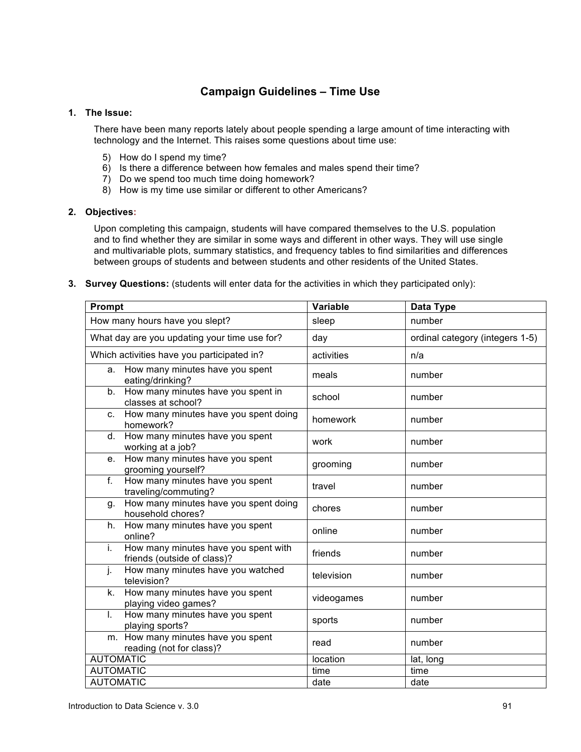# **Campaign Guidelines – Time Use**

### **1. The Issue:**

There have been many reports lately about people spending a large amount of time interacting with technology and the Internet. This raises some questions about time use:

- 5) How do I spend my time?
- 6) Is there a difference between how females and males spend their time?
- 7) Do we spend too much time doing homework?
- 8) How is my time use similar or different to other Americans?

## **2. Objectives:**

Upon completing this campaign, students will have compared themselves to the U.S. population and to find whether they are similar in some ways and different in other ways. They will use single and multivariable plots, summary statistics, and frequency tables to find similarities and differences between groups of students and between students and other residents of the United States.

**3. Survey Questions:** (students will enter data for the activities in which they participated only):

| Prompt                                                                    | <b>Variable</b> | Data Type                       |
|---------------------------------------------------------------------------|-----------------|---------------------------------|
| How many hours have you slept?                                            | sleep           | number                          |
| What day are you updating your time use for?                              | day             | ordinal category (integers 1-5) |
| Which activities have you participated in?                                | activities      | n/a                             |
| a. How many minutes have you spent<br>eating/drinking?                    | meals           | number                          |
| How many minutes have you spent in<br>b.<br>classes at school?            | school          | number                          |
| How many minutes have you spent doing<br>C.<br>homework?                  | homework        | number                          |
| How many minutes have you spent<br>d.<br>working at a job?                | work            | number                          |
| How many minutes have you spent<br>e.<br>grooming yourself?               | grooming        | number                          |
| How many minutes have you spent<br>f.<br>traveling/commuting?             | travel          | number                          |
| How many minutes have you spent doing<br>g.<br>household chores?          | chores          | number                          |
| How many minutes have you spent<br>h.<br>online?                          | online          | number                          |
| How many minutes have you spent with<br>i.<br>friends (outside of class)? | friends         | number                          |
| How many minutes have you watched<br>j.<br>television?                    | television      | number                          |
| How many minutes have you spent<br>k.<br>playing video games?             | videogames      | number                          |
| How many minutes have you spent<br>$\mathbf{L}$<br>playing sports?        | sports          | number                          |
| m. How many minutes have you spent<br>reading (not for class)?            | read            | number                          |
| <b>AUTOMATIC</b>                                                          | location        | lat, long                       |
| <b>AUTOMATIC</b>                                                          | time            | time                            |
| <b>AUTOMATIC</b>                                                          | date            | date                            |